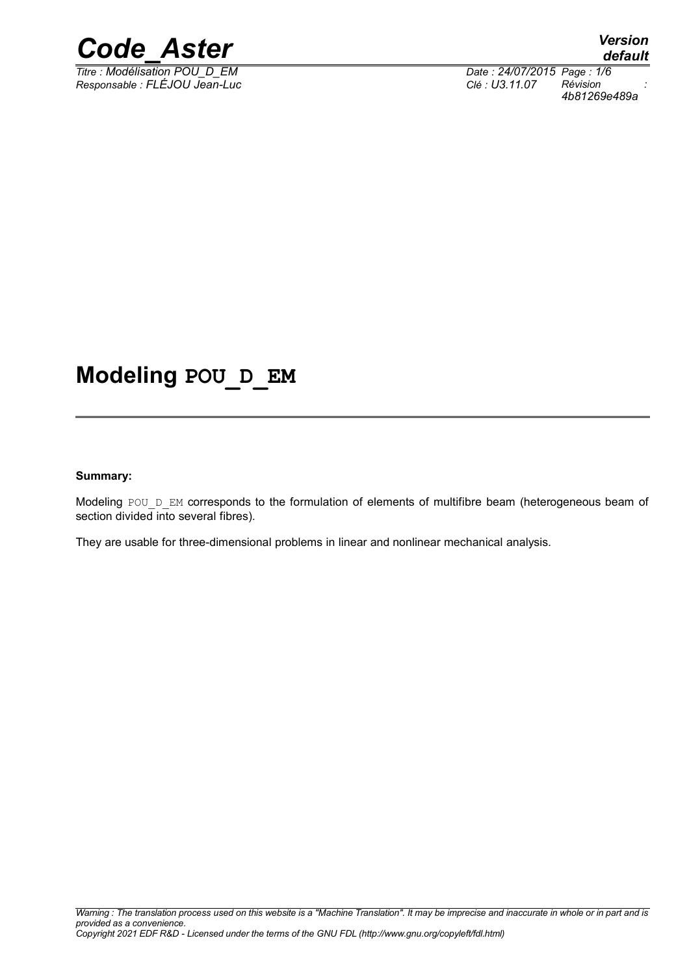

*Titre : Modélisation POU\_D\_EM Date : 24/07/2015 Page : 1/6 Responsable : FLÉJOU Jean-Luc Clé : U3.11.07 Révision :*

*4b81269e489a*

## **Modeling POU\_D\_EM**

#### **Summary:**

Modeling POU D\_EM corresponds to the formulation of elements of multifibre beam (heterogeneous beam of section divided into several fibres).

They are usable for three-dimensional problems in linear and nonlinear mechanical analysis.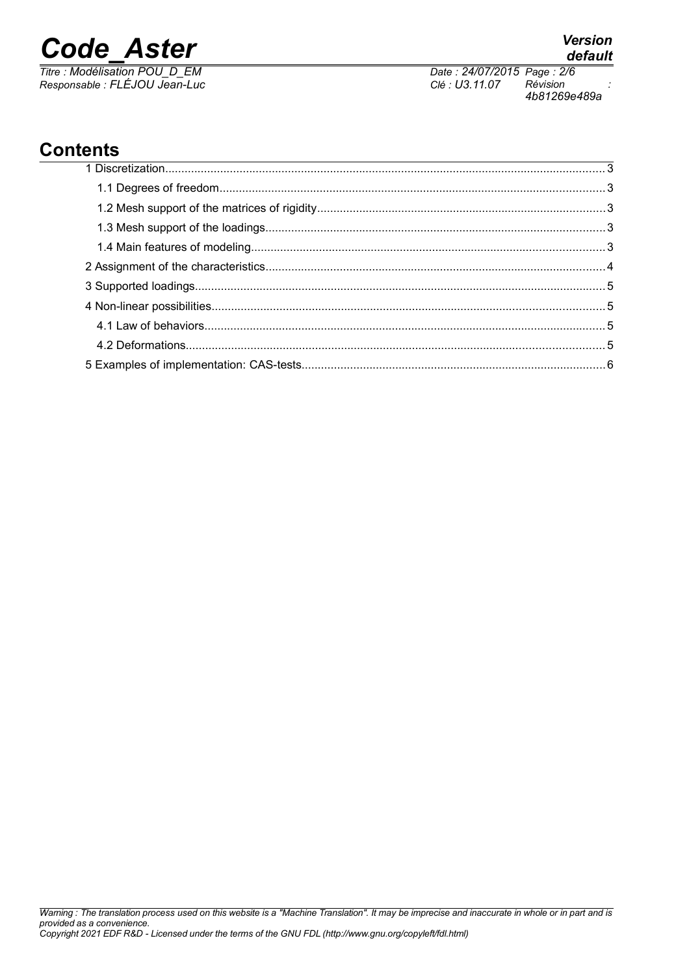*Titre : Modélisation POU\_D\_EM Date : 24/07/2015 Page : 2/6 Responsable : FLÉJOU Jean-Luc Clé : U3.11.07 Révision :*

*4b81269e489a*

*default*

## **Contents**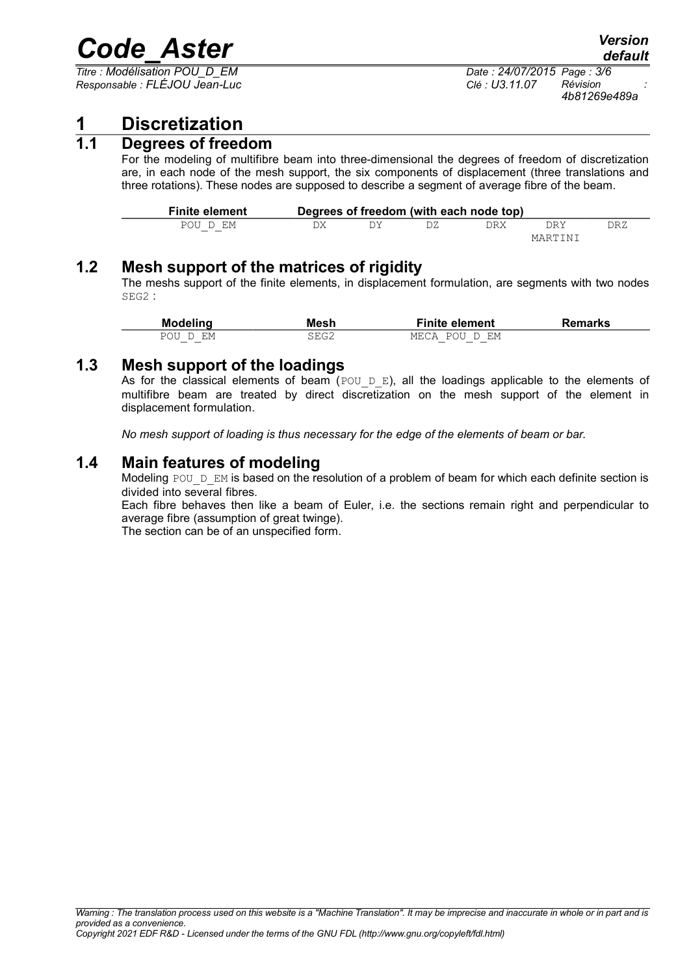*Titre : Modélisation POU\_D\_EM Date : 24/07/2015 Page : 3/6 Responsable : FLÉJOU Jean-Luc Clé : U3.11.07 Révision :*

*4b81269e489a*

### **1 Discretization**

#### **1.1 Degrees of freedom**

For the modeling of multifibre beam into three-dimensional the degrees of freedom of discretization are, in each node of the mesh support, the six components of displacement (three translations and three rotations). These nodes are supposed to describe a segment of average fibre of the beam.

| <b>Finite element</b> |  | Degrees of freedom (with each node top) |            |     |
|-----------------------|--|-----------------------------------------|------------|-----|
| POU D EM              |  | את RX                                   | <b>DRY</b> | DRZ |
|                       |  |                                         | MARTINI    |     |

#### **1.2 Mesh support of the matrices of rigidity**

The meshs support of the finite elements, in displacement formulation, are segments with two nodes SEG2 :

| <b>Modeling</b>    | Mesh | <b>Finite element</b>       | Remarks |
|--------------------|------|-----------------------------|---------|
| <b>POLI</b><br>F.M | 3EG2 | <b>POLL</b><br>D EM<br>MECA |         |

#### **1.3 Mesh support of the loadings**

As for the classical elements of beam (POU D E), all the loadings applicable to the elements of multifibre beam are treated by direct discretization on the mesh support of the element in displacement formulation.

*No mesh support of loading is thus necessary for the edge of the elements of beam or bar.*

#### **1.4 Main features of modeling**

Modeling POU  $D$  EM is based on the resolution of a problem of beam for which each definite section is divided into several fibres.

Each fibre behaves then like a beam of Euler, i.e. the sections remain right and perpendicular to average fibre (assumption of great twinge).

The section can be of an unspecified form.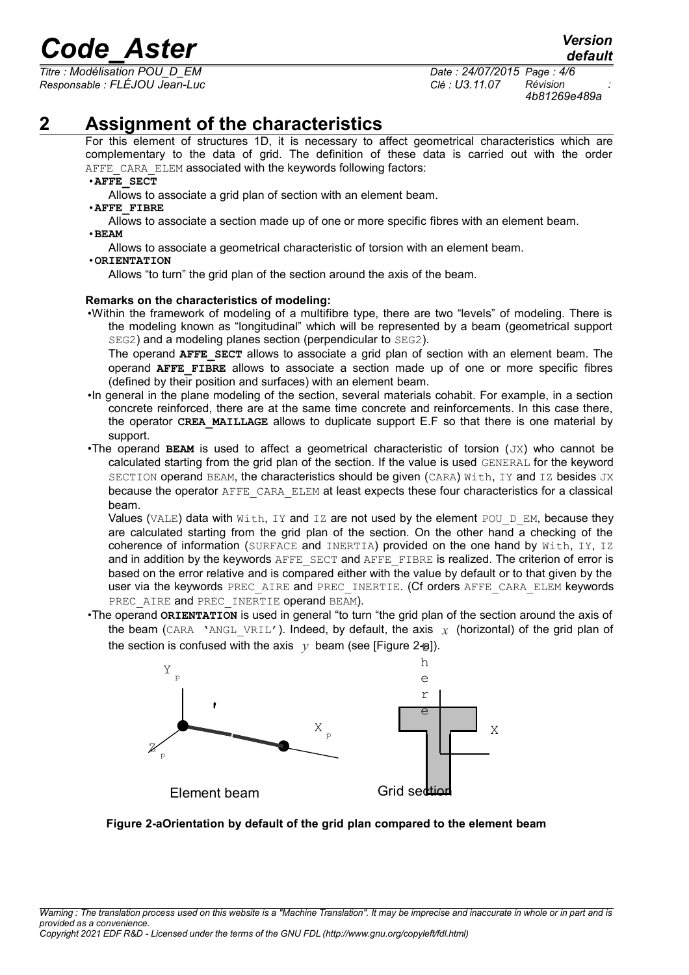*Titre : Modélisation POU\_D\_EM Date : 24/07/2015 Page : 4/6 Responsable : FLÉJOU Jean-Luc Clé : U3.11.07 Révision :*

*default 4b81269e489a*

## **2 Assignment of the characteristics**

For this element of structures 1D, it is necessary to affect geometrical characteristics which are complementary to the data of grid. The definition of these data is carried out with the order AFFE\_CARA\_ELEM associated with the keywords following factors:

#### •**AFFE\_SECT**

Allows to associate a grid plan of section with an element beam.

#### •**AFFE\_FIBRE**

Allows to associate a section made up of one or more specific fibres with an element beam. •**BEAM**

Allows to associate a geometrical characteristic of torsion with an element beam.

#### •**ORIENTATION**

Allows "to turn" the grid plan of the section around the axis of the beam.

#### **Remarks on the characteristics of modeling:**

•Within the framework of modeling of a multifibre type, there are two "levels" of modeling. There is the modeling known as "longitudinal" which will be represented by a beam (geometrical support SEG2) and a modeling planes section (perpendicular to SEG2).

The operand **AFFE** SECT allows to associate a grid plan of section with an element beam. The operand **AFFE\_FIBRE** allows to associate a section made up of one or more specific fibres (defined by their position and surfaces) with an element beam.

- •In general in the plane modeling of the section, several materials cohabit. For example, in a section concrete reinforced, there are at the same time concrete and reinforcements. In this case there, the operator **CREA\_MAILLAGE** allows to duplicate support E.F so that there is one material by support.
- •The operand **BEAM** is used to affect a geometrical characteristic of torsion (JX) who cannot be calculated starting from the grid plan of the section. If the value is used GENERAL for the keyword SECTION operand BEAM, the characteristics should be given (CARA) With, IY and IZ besides JX because the operator AFFE\_CARA\_ELEM at least expects these four characteristics for a classical beam.

Values (VALE) data with With, IY and IZ are not used by the element POU D EM, because they are calculated starting from the grid plan of the section. On the other hand a checking of the coherence of information (SURFACE and INERTIA) provided on the one hand by With, IY, IZ and in addition by the keywords AFFE\_SECT and AFFE\_FIBRE is realized. The criterion of error is based on the error relative and is compared either with the value by default or to that given by the user via the keywords PREC\_AIRE and PREC\_INERTIE. (Cf orders AFFE\_CARA\_ELEM keywords PREC\_AIRE and PREC\_INERTIE operand BEAM).

•The operand **ORIENTATION** is used in general "to turn "the grid plan of the section around the axis of the beam (CARA 'ANGL VRIL'). Indeed, by default, the axis  $x$  (horizontal) of the grid plan of the section is confused with the axis  $|y|$  beam (see [Figure 2-ae]).



<span id="page-3-0"></span>**Figure 2-aOrientation by default of the grid plan compared to the element beam**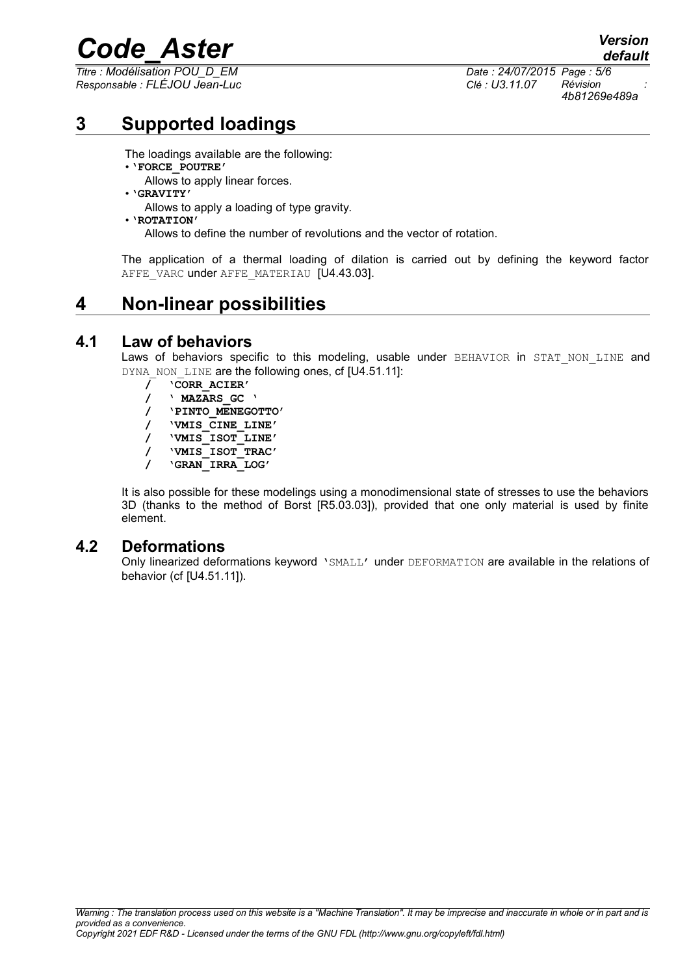*Titre : Modélisation POU\_D\_EM Date : 24/07/2015 Page : 5/6 Responsable : FLÉJOU Jean-Luc Clé : U3.11.07 Révision :*

*default 4b81269e489a*

## **3 Supported loadings**

The loadings available are the following:

- •**'FORCE\_POUTRE'**
	- Allows to apply linear forces.
- •**'GRAVITY'** Allows to apply a loading of type gravity.
- •**'ROTATION'**

Allows to define the number of revolutions and the vector of rotation.

The application of a thermal loading of dilation is carried out by defining the keyword factor AFFE\_VARC under AFFE\_MATERIAU [U4.43.03].

## **4 Non-linear possibilities**

#### **4.1 Law of behaviors**

Laws of behaviors specific to this modeling, usable under BEHAVIOR in STAT NON LINE and DYNA\_NON\_LINE are the following ones, cf [U4.51.11]:

- **/ 'CORR\_ACIER'**
- **/ ' MAZARS\_GC '**
- **/ 'PINTO\_MENEGOTTO'**
- **/ 'VMIS\_CINE\_LINE'**
- **/ 'VMIS\_ISOT\_LINE'**
- **/ 'VMIS\_ISOT\_TRAC'**
- **/ 'GRAN\_IRRA\_LOG'**

It is also possible for these modelings using a monodimensional state of stresses to use the behaviors 3D (thanks to the method of Borst [R5.03.03]), provided that one only material is used by finite element.

#### **4.2 Deformations**

Only linearized deformations keyword 'SMALL' under DEFORMATION are available in the relations of behavior (cf [U4.51.11]).